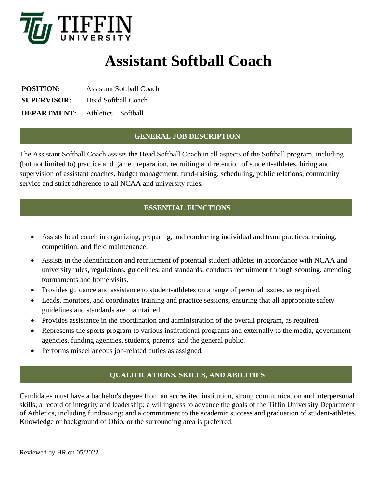

# **Assistant Softball Coach**

**POSITION:** Assistant Softball Coach **SUPERVISOR:** Head Softball Coach **DEPARTMENT:** Athletics – Softball

#### **GENERAL JOB DESCRIPTION**

The Assistant Softball Coach assists the Head Softball Coach in all aspects of the Softball program, including (but not limited to) practice and game preparation, recruiting and retention of student-athletes, hiring and supervision of assistant coaches, budget management, fund-raising, scheduling, public relations, community service and strict adherence to all NCAA and university rules.

## **ESSENTIAL FUNCTIONS**

- Assists head coach in organizing, preparing, and conducting individual and team practices, training, competition, and field maintenance.
- Assists in the identification and recruitment of potential student-athletes in accordance with NCAA and university rules, regulations, guidelines, and standards; conducts recruitment through scouting, attending tournaments and home visits.
- Provides guidance and assistance to student-athletes on a range of personal issues, as required.
- Leads, monitors, and coordinates training and practice sessions, ensuring that all appropriate safety guidelines and standards are maintained.
- Provides assistance in the coordination and administration of the overall program, as required.
- Represents the sports program to various institutional programs and externally to the media, government agencies, funding agencies, students, parents, and the general public.
- Performs miscellaneous job-related duties as assigned.

## **QUALIFICATIONS, SKILLS, AND ABILITIES**

Candidates must have a bachelor's degree from an accredited institution, strong communication and interpersonal skills; a record of integrity and leadership; a willingness to advance the goals of the Tiffin University Department of Athletics, including fundraising; and a commitment to the academic success and graduation of student-athletes. Knowledge or background of Ohio, or the surrounding area is preferred.